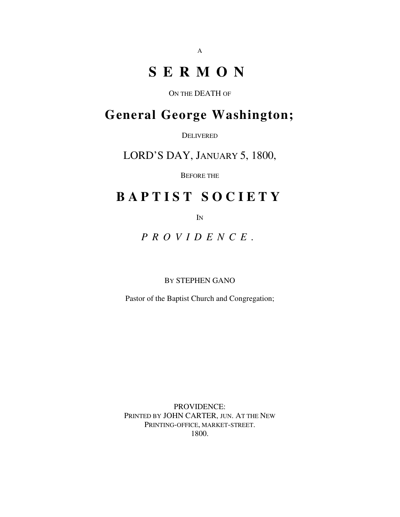# **S E R M O N**

ON THE DEATH OF

## **General George Washington;**

DELIVERED

LORD'S DAY, JANUARY 5, 1800,

BEFORE THE

## **B A P T I S T S O C I E T Y**

IN

*P R O V I D E N C E .*

BY STEPHEN GANO

Pastor of the Baptist Church and Congregation;

PROVIDENCE: PRINTED BY JOHN CARTER, JUN. AT THE NEW PRINTING-OFFICE, MARKET-STREET. 1800.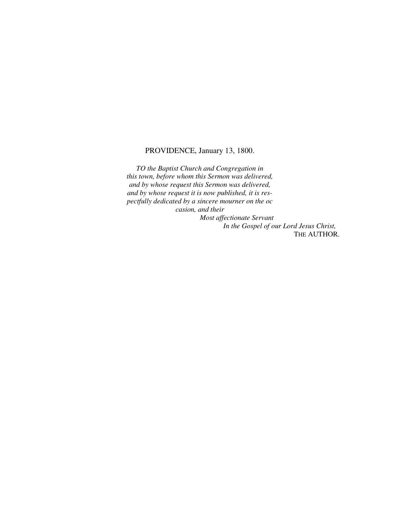### PROVIDENCE, January 13, 1800.

*TO the Baptist Church and Congregation in this town, before whom this Sermon was delivered, and by whose request this Sermon was delivered, and by whose request it is now published, it is respectfully dedicated by a sincere mourner on the oc casion, and their Most affectionate Servant*

*In the Gospel of our Lord Jesus Christ,* THE AUTHOR.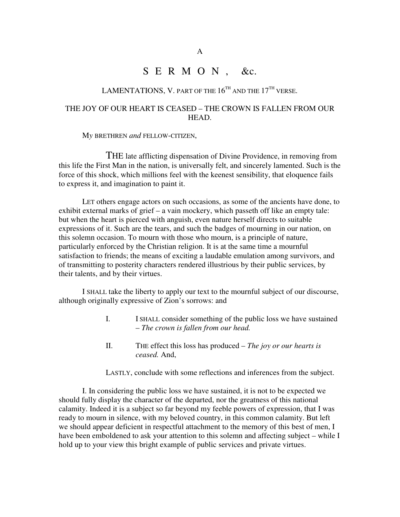## S E R M O N, &c.

## LAMENTATIONS, V. part of the  $16^{\rm{th}}$  and the  $17^{\rm{th}}$  verse.

## THE JOY OF OUR HEART IS CEASED – THE CROWN IS FALLEN FROM OUR HEAD.

M*y* BRETHREN *and* FELLOW-CITIZEN,

THE late afflicting dispensation of Divine Providence, in removing from this life the First Man in the nation, is universally felt, and sincerely lamented. Such is the force of this shock, which millions feel with the keenest sensibility, that eloquence fails to express it, and imagination to paint it.

LET others engage actors on such occasions, as some of the ancients have done, to exhibit external marks of grief – a vain mockery, which passeth off like an empty tale: but when the heart is pierced with anguish, even nature herself directs to suitable expressions of it. Such are the tears, and such the badges of mourning in our nation, on this solemn occasion. To mourn with those who mourn, is a principle of nature, particularly enforced by the Christian religion. It is at the same time a mournful satisfaction to friends; the means of exciting a laudable emulation among survivors, and of transmitting to posterity characters rendered illustrious by their public services, by their talents, and by their virtues.

I SHALL take the liberty to apply our text to the mournful subject of our discourse, although originally expressive of Zion's sorrows: and

- I. I SHALL consider something of the public loss we have sustained – *The crown is fallen from our head.*
- II. THE effect this loss has produced *The joy or our hearts is ceased.* And,

LASTLY, conclude with some reflections and inferences from the subject.

I. In considering the public loss we have sustained, it is not to be expected we should fully display the character of the departed, nor the greatness of this national calamity. Indeed it is a subject so far beyond my feeble powers of expression, that I was ready to mourn in silence, with my beloved country, in this common calamity. But left we should appear deficient in respectful attachment to the memory of this best of men, I have been emboldened to ask your attention to this solemn and affecting subject – while I hold up to your view this bright example of public services and private virtues.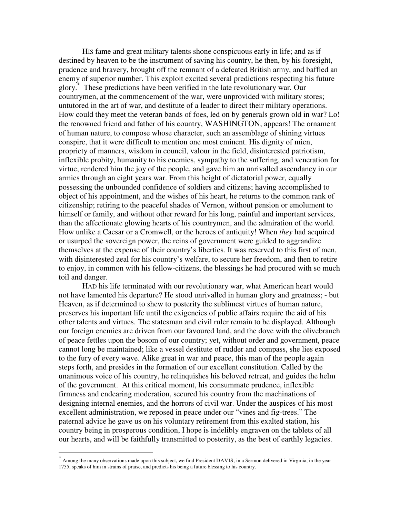HIS fame and great military talents shone conspicuous early in life; and as if destined by heaven to be the instrument of saving his country, he then, by his foresight, prudence and bravery, brought off the remnant of a defeated British army, and baffled an enemy of superior number. This exploit excited several predictions respecting his future glory. \* These predictions have been verified in the late revolutionary war. Our countrymen, at the commencement of the war, were unprovided with military stores; untutored in the art of war, and destitute of a leader to direct their military operations. How could they meet the veteran bands of foes, led on by generals grown old in war? Lo! the renowned friend and father of his country, WASHINGTON, appears! The ornament of human nature, to compose whose character, such an assemblage of shining virtues conspire, that it were difficult to mention one most eminent. His dignity of mien, propriety of manners, wisdom in council, valour in the field, disinterested patriotism, inflexible probity, humanity to his enemies, sympathy to the suffering, and veneration for virtue, rendered him the joy of the people, and gave him an unrivalled ascendancy in our armies through an eight years war. From this height of dictatorial power, equally possessing the unbounded confidence of soldiers and citizens; having accomplished to object of his appointment, and the wishes of his heart, he returns to the common rank of citizenship; retiring to the peaceful shades of Vernon, without pension or emolument to himself or family, and without other reward for his long, painful and important services, than the affectionate glowing hearts of his countrymen, and the admiration of the world. How unlike a Caesar or a Cromwell, or the heroes of antiquity! When *they* had acquired or usurped the sovereign power, the reins of government were guided to aggrandize themselves at the expense of their country's liberties. It was reserved to this first of men, with disinterested zeal for his country's welfare, to secure her freedom, and then to retire to enjoy, in common with his fellow-citizens, the blessings he had procured with so much toil and danger.

HAD his life terminated with our revolutionary war, what American heart would not have lamented his departure? He stood unrivalled in human glory and greatness; - but Heaven, as if determined to shew to posterity the sublimest virtues of human nature, preserves his important life until the exigencies of public affairs require the aid of his other talents and virtues. The statesman and civil ruler remain to be displayed. Although our foreign enemies are driven from our favoured land, and the dove with the olivebranch of peace fettles upon the bosom of our country; yet, without order and government, peace cannot long be maintained; like a vessel destitute of rudder and compass, she lies exposed to the fury of every wave. Alike great in war and peace, this man of the people again steps forth, and presides in the formation of our excellent constitution. Called by the unanimous voice of his country, he relinquishes his beloved retreat, and guides the helm of the government. At this critical moment, his consummate prudence, inflexible firmness and endearing moderation, secured his country from the machinations of designing internal enemies, and the horrors of civil war. Under the auspices of his most excellent administration, we reposed in peace under our "vines and fig-trees." The paternal advice he gave us on his voluntary retirement from this exalted station, his country being in prosperous condition, I hope is indelibly engraven on the tablets of all our hearts, and will be faithfully transmitted to posterity, as the best of earthly legacies.

<sup>\*</sup> Among the many observations made upon this subject, we find President DAVIS, in a Sermon delivered in Virginia, in the year 1755, speaks of him in strains of praise, and predicts his being a future blessing to his country.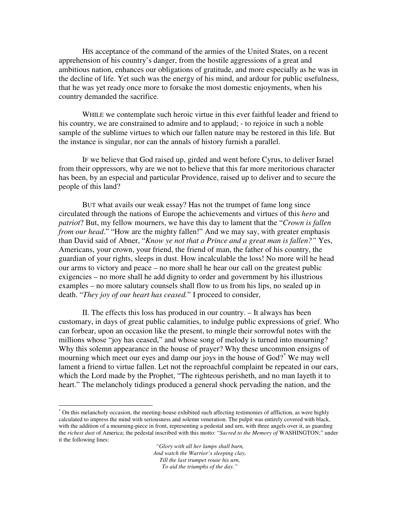HIS acceptance of the command of the armies of the United States, on a recent apprehension of his country's danger, from the hostile aggressions of a great and ambitious nation, enhances our obligations of gratitude, and more especially as he was in the decline of life. Yet such was the energy of his mind, and ardour for public usefulness, that he was yet ready once more to forsake the most domestic enjoyments, when his country demanded the sacrifice.

WHILE we contemplate such heroic virtue in this ever faithful leader and friend to his country, we are constrained to admire and to applaud; - to rejoice in such a noble sample of the sublime virtues to which our fallen nature may be restored in this life. But the instance is singular, nor can the annals of history furnish a parallel.

IF we believe that God raised up, girded and went before Cyrus, to deliver Israel from their oppressors, why are we not to believe that this far more meritorious character has been, by an especial and particular Providence, raised up to deliver and to secure the people of this land?

BUT what avails our weak essay? Has not the trumpet of fame long since circulated through the nations of Europe the achievements and virtues of this *hero* and *patriot*? But, my fellow mourners, we have this day to lament that the "*Crown is fallen from our head.*" "How are the mighty fallen!" And we may say, with greater emphasis than David said of Abner, "*Know ye not that a Prince and a great man is fallen?"* Yes, Americans, your crown, your friend, the friend of man, the father of his country, the guardian of your rights, sleeps in dust. How incalculable the loss! No more will he head our arms to victory and peace – no more shall he hear our call on the greatest public exigencies – no more shall he add dignity to order and government by his illustrious examples – no more salutary counsels shall flow to us from his lips, no sealed up in death. "*They joy of our heart has ceased.*" I proceed to consider,

II. The effects this loss has produced in our country. – It always has been customary, in days of great public calamities, to indulge public expressions of grief. Who can forbear, upon an occasion like the present, to mingle their sorrowful notes with the millions whose "joy has ceased," and whose song of melody is turned into mourning? Why this solemn appearance in the house of prayer? Why these uncommon ensigns of mourning which meet our eyes and damp our joys in the house of God? \* We may well lament a friend to virtue fallen. Let not the reproachful complaint be repeated in our ears, which the Lord made by the Prophet, "The righteous perisheth, and no man layeth it to heart." The melancholy tidings produced a general shock pervading the nation, and the

On this melancholy occasion, the meeting-house exhibited such affecting testimonies of affliction, as were highly calculated to impress the mind with seriousness and solemn veneration. The pulpit was entirely covered with black, with the addition of a mourning-piece in front, representing a pedestal and urn, with three angels over it, as guarding the *richest dust* of America; the pedestal inscribed with this motto: "*Sacred to the Memory of* WASHINGTON;" under it the following lines: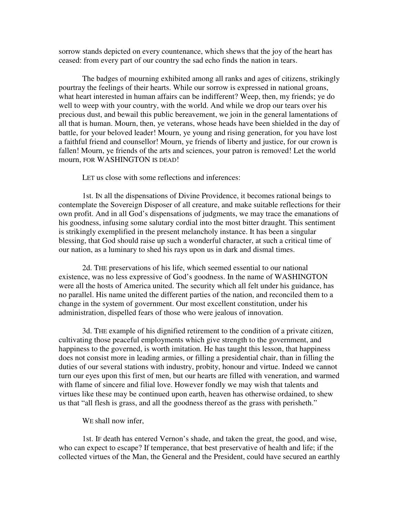sorrow stands depicted on every countenance, which shews that the joy of the heart has ceased: from every part of our country the sad echo finds the nation in tears.

The badges of mourning exhibited among all ranks and ages of citizens, strikingly pourtray the feelings of their hearts. While our sorrow is expressed in national groans, what heart interested in human affairs can be indifferent? Weep, then, my friends; ye do well to weep with your country, with the world. And while we drop our tears over his precious dust, and bewail this public bereavement, we join in the general lamentations of all that is human. Mourn, then, ye veterans, whose heads have been shielded in the day of battle, for your beloved leader! Mourn, ye young and rising generation, for you have lost a faithful friend and counsellor! Mourn, ye friends of liberty and justice, for our crown is fallen! Mourn, ye friends of the arts and sciences, your patron is removed! Let the world mourn, FOR WASHINGTON IS DEAD!

LET us close with some reflections and inferences:

1st. IN all the dispensations of Divine Providence, it becomes rational beings to contemplate the Sovereign Disposer of all creature, and make suitable reflections for their own profit. And in all God's dispensations of judgments, we may trace the emanations of his goodness, infusing some salutary cordial into the most bitter draught. This sentiment is strikingly exemplified in the present melancholy instance. It has been a singular blessing, that God should raise up such a wonderful character, at such a critical time of our nation, as a luminary to shed his rays upon us in dark and dismal times.

2d. THE preservations of his life, which seemed essential to our national existence, was no less expressive of God's goodness. In the name of WASHINGTON were all the hosts of America united. The security which all felt under his guidance, has no parallel. His name united the different parties of the nation, and reconciled them to a change in the system of government. Our most excellent constitution, under his administration, dispelled fears of those who were jealous of innovation.

3d. THE example of his dignified retirement to the condition of a private citizen, cultivating those peaceful employments which give strength to the government, and happiness to the governed, is worth imitation. He has taught this lesson, that happiness does not consist more in leading armies, or filling a presidential chair, than in filling the duties of our several stations with industry, probity, honour and virtue. Indeed we cannot turn our eyes upon this first of men, but our hearts are filled with veneration, and warmed with flame of sincere and filial love. However fondly we may wish that talents and virtues like these may be continued upon earth, heaven has otherwise ordained, to shew us that "all flesh is grass, and all the goodness thereof as the grass with perisheth."

#### WE shall now infer.

1st. IF death has entered Vernon's shade, and taken the great, the good, and wise, who can expect to escape? If temperance, that best preservative of health and life; if the collected virtues of the Man, the General and the President, could have secured an earthly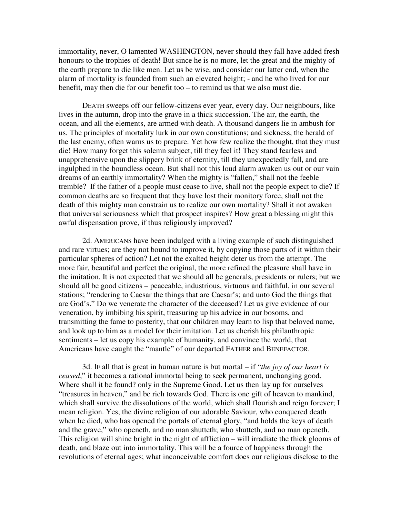immortality, never, O lamented WASHINGTON, never should they fall have added fresh honours to the trophies of death! But since he is no more, let the great and the mighty of the earth prepare to die like men. Let us be wise, and consider our latter end, when the alarm of mortality is founded from such an elevated height; - and he who lived for our benefit, may then die for our benefit too – to remind us that we also must die.

DEATH sweeps off our fellow-citizens ever year, every day. Our neighbours, like lives in the autumn, drop into the grave in a thick succession. The air, the earth, the ocean, and all the elements, are armed with death. A thousand dangers lie in ambush for us. The principles of mortality lurk in our own constitutions; and sickness, the herald of the last enemy, often warns us to prepare. Yet how few realize the thought, that they must die! How many forget this solemn subject, till they feel it! They stand fearless and unapprehensive upon the slippery brink of eternity, till they unexpectedly fall, and are ingulphed in the boundless ocean. But shall not this loud alarm awaken us out or our vain dreams of an earthly immortality? When the mighty is "fallen," shall not the feeble tremble? If the father of a people must cease to live, shall not the people expect to die? If common deaths are so frequent that they have lost their monitory force, shall not the death of this mighty man constrain us to realize our own mortality? Shall it not awaken that universal seriousness which that prospect inspires? How great a blessing might this awful dispensation prove, if thus religiously improved?

2d. AMERICANS have been indulged with a living example of such distinguished and rare virtues; are they not bound to improve it, by copying those parts of it within their particular spheres of action? Let not the exalted height deter us from the attempt. The more fair, beautiful and perfect the original, the more refined the pleasure shall have in the imitation. It is not expected that we should all be generals, presidents or rulers; but we should all be good citizens – peaceable, industrious, virtuous and faithful, in our several stations; "rendering to Caesar the things that are Caesar's; and unto God the things that are God's." Do we venerate the character of the deceased? Let us give evidence of our veneration, by imbibing his spirit, treasuring up his advice in our bosoms, and transmitting the fame to posterity, that our children may learn to lisp that beloved name, and look up to him as a model for their imitation. Let us cherish his philanthropic sentiments – let us copy his example of humanity, and convince the world, that Americans have caught the "mantle" of our departed FATHER and BENEFACTOR.

3d. IF all that is great in human nature is but mortal – if "*the joy of our heart is ceased*," it becomes a rational immortal being to seek permanent, unchanging good. Where shall it be found? only in the Supreme Good. Let us then lay up for ourselves "treasures in heaven," and be rich towards God. There is one gift of heaven to mankind, which shall survive the dissolutions of the world, which shall flourish and reign forever; I mean religion. Yes, the divine religion of our adorable Saviour, who conquered death when he died, who has opened the portals of eternal glory, "and holds the keys of death and the grave," who openeth, and no man shutteth; who shutteth, and no man openeth. This religion will shine bright in the night of affliction – will irradiate the thick glooms of death, and blaze out into immortality. This will be a fource of happiness through the revolutions of eternal ages; what inconceivable comfort does our religious disclose to the